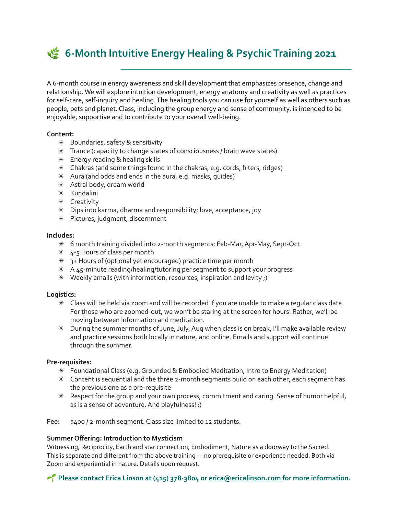# **S** 6-Month Intuitive Energy Healing & Psychic Training 2021

A 6-month course in energy awareness and skill development that emphasizes presence, change and relationship. We will explore intuition development, energy anatomy and creativity as well as practices for self-care, self-inquiry and healing. The healing tools you can use for yourself as well as others such as people, pets and planet. Class, including the group energy and sense of community, is intended to be enjoyable, supportive and to contribute to your overall well-being.

## **Content:**

- $*$  Boundaries, safety & sensitivity
- $*$  Trance (capacity to change states of consciousness / brain wave states)
- $*$  Energy reading & healing skills
- $*$  Chakras (and some things found in the chakras, e.g. cords, filters, ridges)
- $*$  Aura (and odds and ends in the aura, e.g. masks, quides)
- $*$  Astral body, dream world
- ✴ Kundalini
- ✴ Creativity
- $*$  Dips into karma, dharma and responsibility; love, acceptance, joy
- $*$  Pictures, judgment, discernment

#### **Includes:**

- $*$  6 month training divided into 2-month segments: Feb-Mar, Apr-May, Sept-Oct
- $*$  4-5 Hours of class per month
- $*$  3+ Hours of (optional yet encouraged) practice time per month
- $*$  A 45-minute reading/healing/tutoring per segment to support your progress
- $*$  Weekly emails (with information, resources, inspiration and levity;)

### **Logistics:**

- $*$  Class will be held via zoom and will be recorded if you are unable to make a regular class date. For those who are zoomed-out, we won't be staring at the screen for hours! Rather, we'll be moving between information and meditation.
- $*$  During the summer months of June, July, Aug when class is on break, I'll make available review and practice sessions both locally in nature, and online. Emails and support will continue through the summer.

### **Pre-requisites:**

- $*$  Foundational Class (e.g. Grounded & Embodied Meditation, Intro to Energy Meditation)
- $*$  Content is sequential and the three 2-month segments build on each other; each segment has the previous one as a pre-requisite
- $*$  Respect for the group and your own process, commitment and caring. Sense of humor helpful, as is a sense of adventure. And playfulness! :)

Fee:  $$400 / 2$ -month segment. Class size limited to 12 students.

### **Summer Offering: Introduction to Mysticism**

Witnessing, Reciprocity, Earth and star connection, Embodiment, Nature as a doorway to the Sacred. This is separate and different from the above training  $-$  no prerequisite or experience needed. Both via Zoom and experiential in nature. Details upon request.

**Please contact Erica Linson at (415) 378-3804 or <b>erica@ericalinson.com** for more information.